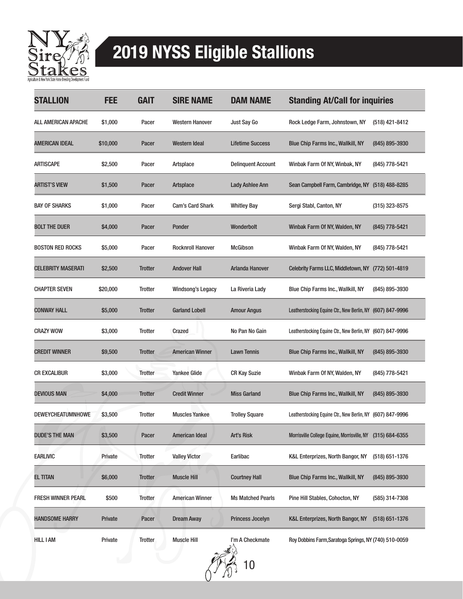

## 2019 NYSS Eligible Stallions

| <b>STALLION</b>           | FEE      | <b>GAIT</b>    | <b>SIRE NAME</b>         | <b>DAM NAME</b>           | <b>Standing At/Call for inquiries</b>                      |                    |
|---------------------------|----------|----------------|--------------------------|---------------------------|------------------------------------------------------------|--------------------|
| ALL AMERICAN APACHE       | \$1,000  | Pacer          | <b>Western Hanover</b>   | Just Say Go               | Rock Ledge Farm, Johnstown, NY                             | (518) 421-8412     |
| AMERICAN IDEAL            | \$10,000 | Pacer          | <b>Western Ideal</b>     | <b>Lifetime Success</b>   | Blue Chip Farms Inc., Wallkill, NY                         | (845) 895-3930     |
| ARTISCAPE                 | \$2,500  | Pacer          | Artsplace                | <b>Delinquent Account</b> | Winbak Farm Of NY, Winbak, NY                              | (845) 778-5421     |
| ARTIST'S VIEW             | \$1,500  | Pacer          | Artsplace                | <b>Lady Ashlee Ann</b>    | Sean Campbell Farm, Cambridge, NY (518) 488-8285           |                    |
| <b>BAY OF SHARKS</b>      | \$1,000  | Pacer          | <b>Cam's Card Shark</b>  | <b>Whitley Bay</b>        | Sergi Stabl, Canton, NY                                    | (315) 323-8575     |
| BOLT THE DUER             | \$4,000  | Pacer          | Ponder                   | Wonderbolt                | Winbak Farm Of NY, Walden, NY                              | (845) 778-5421     |
| <b>BOSTON RED ROCKS</b>   | \$5,000  | Pacer          | <b>Rocknroll Hanover</b> | <b>McGibson</b>           | Winbak Farm Of NY, Walden, NY                              | (845) 778-5421     |
| <b>CELEBRITY MASERATI</b> | \$2,500  | <b>Trotter</b> | <b>Andover Hall</b>      | Arlanda Hanover           | Celebrity Farms LLC, Middletown, NY (772) 501-4819         |                    |
| <b>CHAPTER SEVEN</b>      | \$20,000 | <b>Trotter</b> | <b>Windsong's Legacy</b> | La Riveria Lady           | Blue Chip Farms Inc., Wallkill, NY                         | (845) 895-3930     |
| <b>CONWAY HALL</b>        | \$5,000  | <b>Trotter</b> | <b>Garland Lobell</b>    | <b>Amour Angus</b>        | Leatherstocking Equine Ctr., New Berlin, NY (607) 847-9996 |                    |
| <b>CRAZY WOW</b>          | \$3,000  | <b>Trotter</b> | Crazed                   | No Pan No Gain            | Leatherstocking Equine Ctr., New Berlin, NY (607) 847-9996 |                    |
| <b>CREDIT WINNER</b>      | \$9,500  | <b>Trotter</b> | <b>American Winner</b>   | <b>Lawn Tennis</b>        | Blue Chip Farms Inc., Wallkill, NY                         | $(845)$ 895-3930   |
| <b>CR EXCALIBUR</b>       | \$3,000  | <b>Trotter</b> | <b>Yankee Glide</b>      | <b>CR Kay Suzie</b>       | Winbak Farm Of NY, Walden, NY                              | (845) 778-5421     |
| <b>DEVIOUS MAN</b>        | \$4,000  | <b>Trotter</b> | <b>Credit Winner</b>     | <b>Miss Garland</b>       | Blue Chip Farms Inc., Wallkill, NY                         | (845) 895-3930     |
| DEWEYCHEATUMNHOWE         | \$3,500  | <b>Trotter</b> | <b>Muscles Yankee</b>    | <b>Trolley Square</b>     | Leatherstocking Equine Ctr., New Berlin, NY (607) 847-9996 |                    |
| <b>DUDE'S THE MAN</b>     | \$3,500  | Pacer          | American Ideal           | <b>Art's Risk</b>         | Morrisville College Equine, Morrisville, NY (315) 684-6355 |                    |
| <b>EARLIVIC</b>           | Private  | <b>Trotter</b> | <b>Valley Victor</b>     | Earlibac                  | K&L Enterprizes, North Bangor, NY                          | $(518)$ 651-1376   |
| EL TITAN                  | \$6,000  | <b>Trotter</b> | <b>Muscle Hill</b>       | <b>Courtney Hall</b>      | <b>Blue Chip Farms Inc., Wallkill, NY</b>                  | $(845) 895 - 3930$ |
| <b>FRESH WINNER PEARL</b> | \$500    | <b>Trotter</b> | <b>American Winner</b>   | <b>Ms Matched Pearls</b>  | Pine Hill Stables, Cohocton, NY                            | (585) 314-7308     |
| <b>HANDSOME HARRY</b>     | Private  | Pacer          | <b>Dream Away</b>        | <b>Princess Jocelyn</b>   | K&L Enterprizes, North Bangor, NY                          | $(518) 651 - 1376$ |
| <b>HILL I AM</b>          | Private  | <b>Trotter</b> | <b>Muscle Hill</b>       | I'm A Checkmate<br>10     | Roy Dobbins Farm, Saratoga Springs, NY (740) 510-0059      |                    |